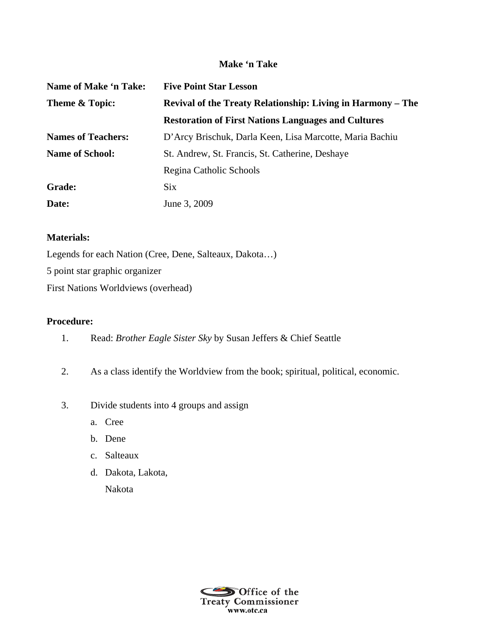## **Make 'n Take**

| Name of Make 'n Take:     | <b>Five Point Star Lesson</b>                               |
|---------------------------|-------------------------------------------------------------|
| Theme & Topic:            | Revival of the Treaty Relationship: Living in Harmony – The |
|                           | <b>Restoration of First Nations Languages and Cultures</b>  |
| <b>Names of Teachers:</b> | D'Arcy Brischuk, Darla Keen, Lisa Marcotte, Maria Bachiu    |
| <b>Name of School:</b>    | St. Andrew, St. Francis, St. Catherine, Deshaye             |
|                           | Regina Catholic Schools                                     |
| Grade:                    | <b>Six</b>                                                  |
| Date:                     | June 3, 2009                                                |

## **Materials:**

Legends for each Nation (Cree, Dene, Salteaux, Dakota…) 5 point star graphic organizer First Nations Worldviews (overhead)

## **Procedure:**

- 1. Read: *Brother Eagle Sister Sky* by Susan Jeffers & Chief Seattle
- 2. As a class identify the Worldview from the book; spiritual, political, economic.
- 3. Divide students into 4 groups and assign
	- a. Cree
	- b. Dene
	- c. Salteaux
	- d. Dakota, Lakota,

Nakota